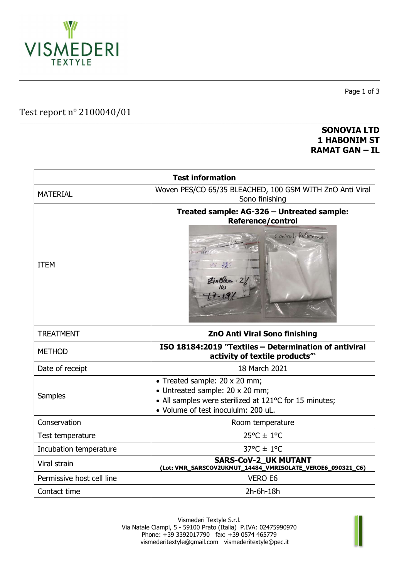

Test report n° 2100040/01

#### \_\_\_\_\_\_\_\_\_\_\_\_\_\_\_\_\_\_\_\_\_\_\_\_\_\_\_\_\_\_\_\_\_\_\_\_\_\_\_\_\_\_\_\_\_\_\_\_\_\_\_\_\_\_\_\_\_\_\_\_\_\_\_\_\_\_\_\_\_\_\_\_\_\_\_\_\_\_\_\_\_\_\_\_\_\_\_\_\_\_\_\_\_\_\_\_\_\_\_\_\_\_\_\_\_\_\_\_\_\_\_\_\_\_\_\_\_\_\_\_\_\_\_\_\_\_\_\_\_\_\_\_\_\_\_\_\_\_\_\_\_\_\_\_\_\_\_\_\_\_\_\_\_\_\_\_\_ SONOVIA LTD 1 HABONIM ST RAMAT GAN – IL

Page 1 of 3

| <b>Test information</b>   |                                                                                                                                                                   |  |  |  |
|---------------------------|-------------------------------------------------------------------------------------------------------------------------------------------------------------------|--|--|--|
| <b>MATERIAL</b>           | Woven PES/CO 65/35 BLEACHED, 100 GSM WITH ZnO Anti Viral<br>Sono finishing                                                                                        |  |  |  |
| <b>ITEM</b>               | Treated sample: AG-326 - Untreated sample:<br><b>Reference/control</b><br>Control-Reference                                                                       |  |  |  |
| <b>TREATMENT</b>          | ZnO Anti Viral Sono finishing                                                                                                                                     |  |  |  |
| <b>METHOD</b>             | ISO 18184:2019 "Textiles - Determination of antiviral<br>activity of textile products" <sup>®</sup>                                                               |  |  |  |
| Date of receipt           | 18 March 2021                                                                                                                                                     |  |  |  |
| <b>Samples</b>            | • Treated sample: 20 x 20 mm;<br>• Untreated sample: 20 x 20 mm;<br>• All samples were sterilized at 121°C for 15 minutes;<br>· Volume of test inocululm: 200 uL. |  |  |  |
| Conservation              | Room temperature                                                                                                                                                  |  |  |  |
| Test temperature          | $25^{\circ}$ C ± 1°C                                                                                                                                              |  |  |  |
| Incubation temperature    | $37^{\circ}$ C ± 1°C                                                                                                                                              |  |  |  |
| Viral strain              | <b>SARS-CoV-2 UK MUTANT</b><br>(Lot: VMR_SARSCOV2UKMUT_14484_VMRISOLATE_VEROE6_090321_C6)                                                                         |  |  |  |
| Permissive host cell line | <b>VERO E6</b>                                                                                                                                                    |  |  |  |
| Contact time              | 2h-6h-18h                                                                                                                                                         |  |  |  |

Vismederi Textyle S.r.l. Via Natale Ciampi, 5 - 59100 Prato (Italia) P.IVA: 02475990970 Phone: +39 3392017790 fax: +39 0574 465779 vismederitextyle@gmail.com vismederitextyle@pec.it

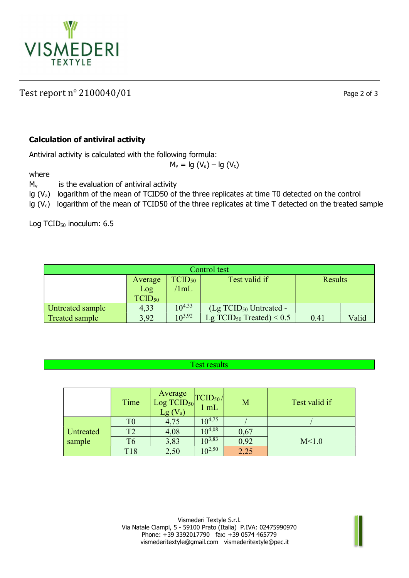

# Test report n° 2100040/01 Page 2 of 3

## Calculation of antiviral activity

Antiviral activity is calculated with the following formula:

 $M_v = Ig (V_a) - Ig (V_c)$ 

where

 $M_v$  is the evaluation of antiviral activity

lg (Va) logarithm of the mean of TCID50 of the three replicates at time T0 detected on the control

Ig ( $V_c$ ) logarithm of the mean of TCID50 of the three replicates at time T detected on the treated sample

Log TCID<sub>50</sub> inoculum: 6.5

| Control test     |             |             |                                        |                |       |  |  |
|------------------|-------------|-------------|----------------------------------------|----------------|-------|--|--|
|                  | Average     | $TCID_{50}$ | Test valid if                          | <b>Results</b> |       |  |  |
|                  | Log         | 1mL         |                                        |                |       |  |  |
|                  | $TCID_{50}$ |             |                                        |                |       |  |  |
| Untreated sample | 4,33        | $10^{4.33}$ | $(Lg$ TCID <sub>50</sub> Untreated -   |                |       |  |  |
| Treated sample   | 3,92        | $10^{3,92}$ | Lg TCID <sub>50</sub> Treated) < $0.5$ | 0.41           | Valid |  |  |

### Test results

|           | Time           | Average<br>Log TCID <sub>50</sub><br>$Lg(V_a)$ | $\left \frac{\text{TCID}_{50}}{1 \text{ mL}}\right $ | M    | Test valid if |
|-----------|----------------|------------------------------------------------|------------------------------------------------------|------|---------------|
|           |                | 4,75                                           | $10^{4,75}$                                          |      |               |
| Untreated | T <sub>2</sub> | 4,08                                           | $0^{4,08}$                                           | 0,67 |               |
| sample    | Т6             | 3,83                                           | $10^{3,83}$                                          | 0,92 | M<1.0         |
|           | <b>T18</b>     | 2,50                                           | $0^{2,50}$                                           |      |               |